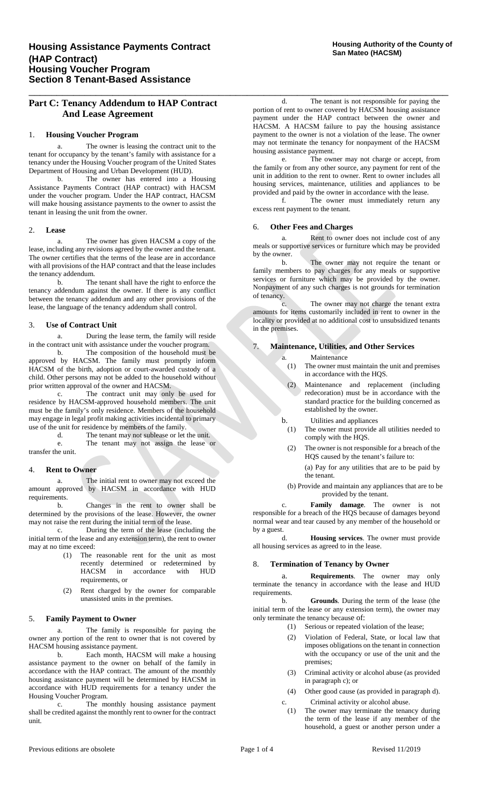# **Part C: Tenancy Addendum to HAP Contract And Lease Agreement**

## 1. **Housing Voucher Program**

a. The owner is leasing the contract unit to the tenant for occupancy by the tenant's family with assistance for a tenancy under the Housing Voucher program of the United States Department of Housing and Urban Development (HUD).

b. The owner has entered into a Housing Assistance Payments Contract (HAP contract) with HACSM under the voucher program. Under the HAP contract, HACSM will make housing assistance payments to the owner to assist the tenant in leasing the unit from the owner.

#### 2. **Lease**

a. The owner has given HACSM a copy of the lease, including any revisions agreed by the owner and the tenant. The owner certifies that the terms of the lease are in accordance with all provisions of the HAP contract and that the lease includes the tenancy addendum.

b. The tenant shall have the right to enforce the tenancy addendum against the owner. If there is any conflict between the tenancy addendum and any other provisions of the lease, the language of the tenancy addendum shall control.

## 3. **Use of Contract Unit**

a. During the lease term, the family will reside in the contract unit with assistance under the voucher program. b. The composition of the household must be

approved by HACSM. The family must promptly inform HACSM of the birth, adoption or court-awarded custody of a child. Other persons may not be added to the household without prior written approval of the owner and HACSM.

c. The contract unit may only be used for residence by HACSM-approved household members. The unit must be the family's only residence. Members of the household may engage in legal profit making activities incidental to primary use of the unit for residence by members of the family.

d. The tenant may not sublease or let the unit. e. The tenant may not assign the lease or transfer the unit.

## 4. **Rent to Owner**

a. The initial rent to owner may not exceed the amount approved by HACSM in accordance with HUD requirements.

b. Changes in the rent to owner shall be determined by the provisions of the lease. However, the owner may not raise the rent during the initial term of the lease.

c. During the term of the lease (including the initial term of the lease and any extension term), the rent to owner may at no time exceed:

- (1) The reasonable rent for the unit as most recently determined or redetermined by HACSM in accordance with HUD requirements, or
- (2) Rent charged by the owner for comparable unassisted units in the premises.

## 5. **Family Payment to Owner**

a. The family is responsible for paying the owner any portion of the rent to owner that is not covered by HACSM housing assistance payment.

b. Each month, HACSM will make a housing assistance payment to the owner on behalf of the family in accordance with the HAP contract. The amount of the monthly housing assistance payment will be determined by HACSM in accordance with HUD requirements for a tenancy under the Housing Voucher Program.

c. The monthly housing assistance payment shall be credited against the monthly rent to owner for the contract unit.

d. The tenant is not responsible for paying the portion of rent to owner covered by HACSM housing assistance payment under the HAP contract between the owner and HACSM. A HACSM failure to pay the housing assistance payment to the owner is not a violation of the lease. The owner may not terminate the tenancy for nonpayment of the HACSM housing assistance payment.

e. The owner may not charge or accept, from the family or from any other source, any payment for rent of the unit in addition to the rent to owner. Rent to owner includes all housing services, maintenance, utilities and appliances to be provided and paid by the owner in accordance with the lease.

f. The owner must immediately return any excess rent payment to the tenant.

## 6. **Other Fees and Charges**

\_\_\_\_\_\_\_\_\_\_\_\_\_\_\_\_\_\_\_\_\_\_\_\_\_\_\_\_\_\_\_\_\_\_\_\_\_\_\_\_\_\_\_\_\_\_\_\_\_\_\_\_\_\_\_\_\_\_\_\_\_\_\_\_\_\_\_\_\_\_\_\_\_\_\_

a. Rent to owner does not include cost of any meals or supportive services or furniture which may be provided by the owner.

b. The owner may not require the tenant or family members to pay charges for any meals or supportive services or furniture which may be provided by the owner. Nonpayment of any such charges is not grounds for termination of tenancy.

c. The owner may not charge the tenant extra amounts for items customarily included in rent to owner in the locality or provided at no additional cost to unsubsidized tenants in the premises.

## 7. **Maintenance, Utilities, and Other Services**

a. Maintenance

- (1) The owner must maintain the unit and premises in accordance with the HQS.
- (2) Maintenance and replacement (including redecoration) must be in accordance with the standard practice for the building concerned as established by the owner.
- b. Utilities and appliances
- (1) The owner must provide all utilities needed to comply with the HQS.
- (2) The owner is not responsible for a breach of the HQS caused by the tenant's failure to:
	- (a) Pay for any utilities that are to be paid by the tenant.
- (b) Provide and maintain any appliances that are to be provided by the tenant.

c. **Family damage**. The owner is not responsible for a breach of the HQS because of damages beyond normal wear and tear caused by any member of the household or by a guest.<br> $\frac{d}{d}$ 

Housing services. The owner must provide all housing services as agreed to in the lease.

## 8. **Termination of Tenancy by Owner**

**Requirements**. The owner may only terminate the tenancy in accordance with the lease and HUD requirements.<br>b.

b. **Grounds**. During the term of the lease (the initial term of the lease or any extension term), the owner may only terminate the tenancy because of:

- (1) Serious or repeated violation of the lease;
- (2) Violation of Federal, State, or local law that imposes obligations on the tenant in connection with the occupancy or use of the unit and the premises;
- (3) Criminal activity or alcohol abuse (as provided in paragraph c); or
- (4) Other good cause (as provided in paragraph d).
- c. Criminal activity or alcohol abuse.<br>(1) The owner may terminate the tenan The owner may terminate the tenancy during the term of the lease if any member of the household, a guest or another person under a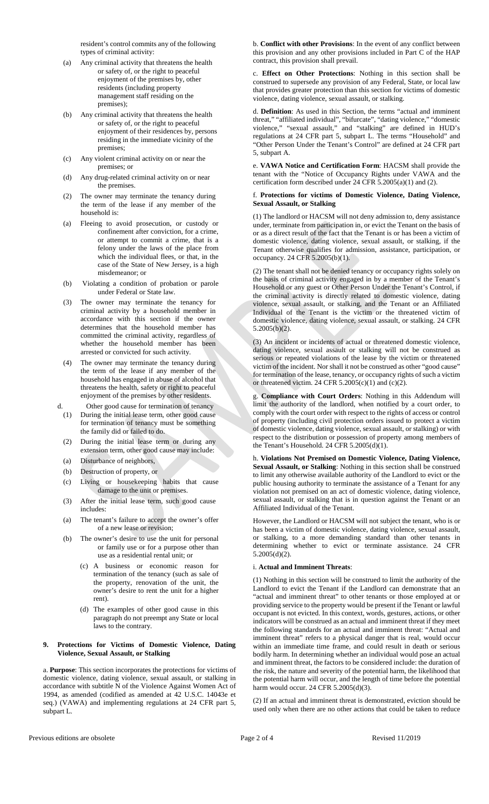resident's control commits any of the following types of criminal activity:

- (a) Any criminal activity that threatens the health or safety of, or the right to peaceful enjoyment of the premises by, other residents (including property management staff residing on the premises);
- (b) Any criminal activity that threatens the health or safety of, or the right to peaceful enjoyment of their residences by, persons residing in the immediate vicinity of the premises;
- (c) Any violent criminal activity on or near the premises; or
- (d) Any drug-related criminal activity on or near the premises.
- (2) The owner may terminate the tenancy during the term of the lease if any member of the household is:
- (a) Fleeing to avoid prosecution, or custody or confinement after conviction, for a crime, or attempt to commit a crime, that is a felony under the laws of the place from which the individual flees, or that, in the case of the State of New Jersey, is a high misdemeanor; or
- (b) Violating a condition of probation or parole under Federal or State law.
- (3) The owner may terminate the tenancy for criminal activity by a household member in accordance with this section if the owner determines that the household member has committed the criminal activity, regardless of whether the household member has been arrested or convicted for such activity.
- (4) The owner may terminate the tenancy during the term of the lease if any member of the household has engaged in abuse of alcohol that threatens the health, safety or right to peaceful enjoyment of the premises by other residents.
- d. Other good cause for termination of tenancy<br>(1) During the initial lease term, other good cause During the initial lease term, other good cause for termination of tenancy must be something the family did or failed to do.
	- (2) During the initial lease term or during any extension term, other good cause may include:
	- (a) Disturbance of neighbors,
	- (b) Destruction of property, or
	- (c) Living or housekeeping habits that cause damage to the unit or premises.
	- (3) After the initial lease term, such good cause includes:
	- (a) The tenant's failure to accept the owner's offer of a new lease or revision;
	- (b) The owner's desire to use the unit for personal or family use or for a purpose other than use as a residential rental unit; or
		- (c) A business or economic reason for termination of the tenancy (such as sale of the property, renovation of the unit, the owner's desire to rent the unit for a higher rent).
		- (d) The examples of other good cause in this paragraph do not preempt any State or local laws to the contrary.

#### **9. Protections for Victims of Domestic Violence, Dating Violence, Sexual Assault, or Stalking**

a. **Purpose**: This section incorporates the protections for victims of domestic violence, dating violence, sexual assault, or stalking in accordance with subtitle N of the Violence Against Women Act of 1994, as amended (codified as amended at 42 U.S.C. 14043e et seq.) (VAWA) and implementing regulations at 24 CFR part 5, subpart L.

b. **Conflict with other Provisions**: In the event of any conflict between this provision and any other provisions included in Part C of the HAP contract, this provision shall prevail.

c. **Effect on Other Protections**: Nothing in this section shall be construed to supersede any provision of any Federal, State, or local law that provides greater protection than this section for victims of domestic violence, dating violence, sexual assault, or stalking.

d. **Definition**: As used in this Section, the terms "actual and imminent threat," "affiliated individual", "bifurcate", "dating violence," "domestic violence," "sexual assault," and "stalking" are defined in HUD's regulations at 24 CFR part 5, subpart L. The terms "Household" and "Other Person Under the Tenant's Control" are defined at 24 CFR part 5, subpart A.

e. **VAWA Notice and Certification Form**: HACSM shall provide the tenant with the "Notice of Occupancy Rights under VAWA and the certification form described under  $24$  CFR  $5.2005(a)(1)$  and (2).

#### f. **Protections for victims of Domestic Violence, Dating Violence, Sexual Assault, or Stalking**

(1) The landlord or HACSM will not deny admission to, deny assistance under, terminate from participation in, or evict the Tenant on the basis of or as a direct result of the fact that the Tenant is or has been a victim of domestic violence, dating violence, sexual assault, or stalking, if the Tenant otherwise qualifies for admission, assistance, participation, or occupancy. 24 CFR 5.2005(b)(1).

(2) The tenant shall not be denied tenancy or occupancy rights solely on the basis of criminal activity engaged in by a member of the Tenant's Household or any guest or Other Person Under the Tenant's Control, if the criminal activity is directly related to domestic violence, dating violence, sexual assault, or stalking, and the Tenant or an Affiliated Individual of the Tenant is the victim or the threatened victim of domestic violence, dating violence, sexual assault, or stalking. 24 CFR 5.2005(b)(2).

(3) An incident or incidents of actual or threatened domestic violence, dating violence, sexual assault or stalking will not be construed as serious or repeated violations of the lease by the victim or threatened victim of the incident. Nor shall it not be construed as other "good cause" for termination of the lease, tenancy, or occupancy rights of such a victim or threatened victim. 24 CFR 5.2005(c)(1) and (c)(2).

g. **Compliance with Court Orders**: Nothing in this Addendum will limit the authority of the landlord, when notified by a court order, to comply with the court order with respect to the rights of access or control of property (including civil protection orders issued to protect a victim of domestic violence, dating violence, sexual assault, or stalking) or with respect to the distribution or possession of property among members of the Tenant's Household. 24 CFR 5.2005(d)(1).

h. **Violations Not Premised on Domestic Violence, Dating Violence, Sexual Assault, or Stalking**: Nothing in this section shall be construed to limit any otherwise available authority of the Landlord to evict or the public housing authority to terminate the assistance of a Tenant for any violation not premised on an act of domestic violence, dating violence, sexual assault, or stalking that is in question against the Tenant or an Affiliated Individual of the Tenant.

However, the Landlord or HACSM will not subject the tenant, who is or has been a victim of domestic violence, dating violence, sexual assault, or stalking, to a more demanding standard than other tenants in determining whether to evict or terminate assistance. 24 CFR 5.2005(d)(2).

## i. **Actual and Imminent Threats**:

(1) Nothing in this section will be construed to limit the authority of the Landlord to evict the Tenant if the Landlord can demonstrate that an "actual and imminent threat" to other tenants or those employed at or providing service to the property would be present if the Tenant or lawful occupant is not evicted. In this context, words, gestures, actions, or other indicators will be construed as an actual and imminent threat if they meet the following standards for an actual and imminent threat: "Actual and imminent threat" refers to a physical danger that is real, would occur within an immediate time frame, and could result in death or serious bodily harm. In determining whether an individual would pose an actual and imminent threat, the factors to be considered include: the duration of the risk, the nature and severity of the potential harm, the likelihood that the potential harm will occur, and the length of time before the potential harm would occur. 24 CFR 5.2005(d)(3).

(2) If an actual and imminent threat is demonstrated, eviction should be used only when there are no other actions that could be taken to reduce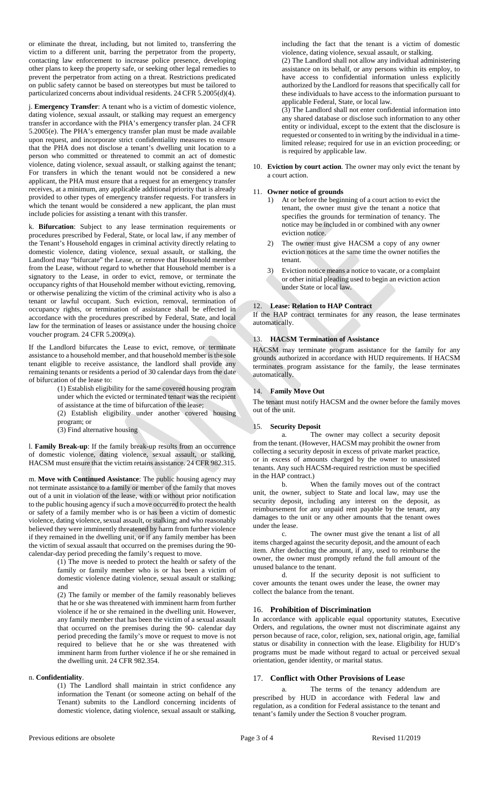or eliminate the threat, including, but not limited to, transferring the victim to a different unit, barring the perpetrator from the property, contacting law enforcement to increase police presence, developing other plans to keep the property safe, or seeking other legal remedies to prevent the perpetrator from acting on a threat. Restrictions predicated on public safety cannot be based on stereotypes but must be tailored to particularized concerns about individual residents. 24 CFR 5.2005(d)(4).

j. **Emergency Transfer**: A tenant who is a victim of domestic violence, dating violence, sexual assault, or stalking may request an emergency transfer in accordance with the PHA's emergency transfer plan. 24 CFR 5.2005(e). The PHA's emergency transfer plan must be made available upon request, and incorporate strict confidentiality measures to ensure that the PHA does not disclose a tenant's dwelling unit location to a person who committed or threatened to commit an act of domestic violence, dating violence, sexual assault, or stalking against the tenant; For transfers in which the tenant would not be considered a new applicant, the PHA must ensure that a request for an emergency transfer receives, at a minimum, any applicable additional priority that is already provided to other types of emergency transfer requests. For transfers in which the tenant would be considered a new applicant, the plan must include policies for assisting a tenant with this transfer.

k. **Bifurcation**: Subject to any lease termination requirements or procedures prescribed by Federal, State, or local law, if any member of the Tenant's Household engages in criminal activity directly relating to domestic violence, dating violence, sexual assault, or stalking, the Landlord may "bifurcate" the Lease, or remove that Household member from the Lease, without regard to whether that Household member is a signatory to the Lease, in order to evict, remove, or terminate the occupancy rights of that Household member without evicting, removing, or otherwise penalizing the victim of the criminal activity who is also a tenant or lawful occupant. Such eviction, removal, termination of occupancy rights, or termination of assistance shall be effected in accordance with the procedures prescribed by Federal, State, and local law for the termination of leases or assistance under the housing choice voucher program. 24 CFR 5.2009(a).

If the Landlord bifurcates the Lease to evict, remove, or terminate assistance to a household member, and that household member is the sole tenant eligible to receive assistance, the landlord shall provide any remaining tenants or residents a period of 30 calendar days from the date of bifurcation of the lease to:

(1) Establish eligibility for the same covered housing program under which the evicted or terminated tenant was the recipient

of assistance at the time of bifurcation of the lease; (2) Establish eligibility under another covered housing

program; or

(3) Find alternative housing

l. **Family Break-up**: If the family break-up results from an occurrence of domestic violence, dating violence, sexual assault, or stalking, HACSM must ensure that the victim retains assistance. 24 CFR 982.315.

m. **Move with Continued Assistance**: The public housing agency may not terminate assistance to a family or member of the family that moves out of a unit in violation of the lease, with or without prior notification to the public housing agency if such a move occurred to protect the health or safety of a family member who is or has been a victim of domestic violence, dating violence, sexual assault, or stalking; and who reasonably believed they were imminently threatened by harm from further violence if they remained in the dwelling unit, or if any family member has been the victim of sexual assault that occurred on the premises during the 90 calendar-day period preceding the family's request to move.

(1) The move is needed to protect the health or safety of the family or family member who is or has been a victim of domestic violence dating violence, sexual assault or stalking; and

(2) The family or member of the family reasonably believes that he or she was threatened with imminent harm from further violence if he or she remained in the dwelling unit. However, any family member that has been the victim of a sexual assault that occurred on the premises during the 90- calendar day period preceding the family's move or request to move is not required to believe that he or she was threatened with imminent harm from further violence if he or she remained in the dwelling unit. 24 CFR 982.354.

## n. **Confidentiality**.

(1) The Landlord shall maintain in strict confidence any information the Tenant (or someone acting on behalf of the Tenant) submits to the Landlord concerning incidents of domestic violence, dating violence, sexual assault or stalking,

including the fact that the tenant is a victim of domestic violence, dating violence, sexual assault, or stalking.

(2) The Landlord shall not allow any individual administering assistance on its behalf, or any persons within its employ, to have access to confidential information unless explicitly authorized by the Landlord for reasons that specifically call for these individuals to have access to the information pursuant to applicable Federal, State, or local law.

(3) The Landlord shall not enter confidential information into any shared database or disclose such information to any other entity or individual, except to the extent that the disclosure is requested or consented to in writing by the individual in a timelimited release; required for use in an eviction proceeding; or is required by applicable law.

10. **Eviction by court action**. The owner may only evict the tenant by a court action.

## 11. **Owner notice of grounds**

- 1) At or before the beginning of a court action to evict the tenant, the owner must give the tenant a notice that specifies the grounds for termination of tenancy. The notice may be included in or combined with any owner eviction notice.
- 2) The owner must give HACSM a copy of any owner eviction notices at the same time the owner notifies the tenant.
- 3) Eviction notice means a notice to vacate, or a complaint or other initial pleading used to begin an eviction action under State or local law.

#### 12. **Lease: Relation to HAP Contract**

If the HAP contract terminates for any reason, the lease terminates automatically.

#### 13. **HACSM Termination of Assistance**

HACSM may terminate program assistance for the family for any grounds authorized in accordance with HUD requirements. If HACSM terminates program assistance for the family, the lease terminates automatically.

#### 14. **Family Move Out**

The tenant must notify HACSM and the owner before the family moves out of the unit.

## 15. **Security Deposit**

a. The owner may collect a security deposit from the tenant. (However, HACSM may prohibit the owner from collecting a security deposit in excess of private market practice, or in excess of amounts charged by the owner to unassisted tenants. Any such HACSM-required restriction must be specified in the HAP contract.)

b. When the family moves out of the contract unit, the owner, subject to State and local law, may use the security deposit, including any interest on the deposit, as reimbursement for any unpaid rent payable by the tenant, any damages to the unit or any other amounts that the tenant owes under the lease.

c. The owner must give the tenant a list of all items charged against the security deposit, and the amount of each item. After deducting the amount, if any, used to reimburse the owner, the owner must promptly refund the full amount of the unused balance to the tenant.

d. If the security deposit is not sufficient to cover amounts the tenant owes under the lease, the owner may collect the balance from the tenant.

## 16. **Prohibition of Discrimination**

In accordance with applicable equal opportunity statutes, Executive Orders, and regulations, the owner must not discriminate against any person because of race, color, religion, sex, national origin, age, familial status or disability in connection with the lease. Eligibility for HUD's programs must be made without regard to actual or perceived sexual orientation, gender identity, or marital status.

## 17. **Conflict with Other Provisions of Leas**e

a. The terms of the tenancy addendum are prescribed by HUD in accordance with Federal law and regulation, as a condition for Federal assistance to the tenant and tenant's family under the Section 8 voucher program.